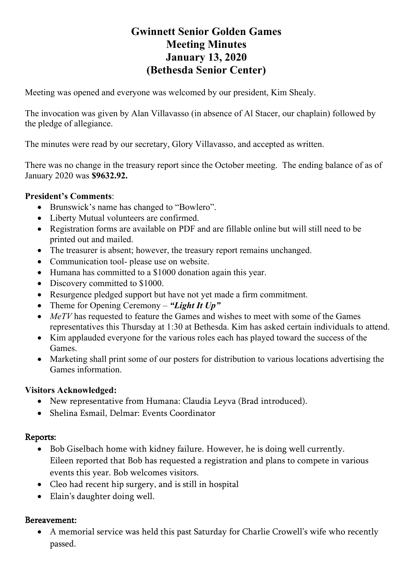# **Gwinnett Senior Golden Games Meeting Minutes January 13, 2020 (Bethesda Senior Center)**

Meeting was opened and everyone was welcomed by our president, Kim Shealy.

The invocation was given by Alan Villavasso (in absence of Al Stacer, our chaplain) followed by the pledge of allegiance.

The minutes were read by our secretary, Glory Villavasso, and accepted as written.

There was no change in the treasury report since the October meeting. The ending balance of as of January 2020 was **\$9632.92.**

#### **President's Comments**:

- Brunswick's name has changed to "Bowlero".
- Liberty Mutual volunteers are confirmed.
- Registration forms are available on PDF and are fillable online but will still need to be printed out and mailed.
- The treasurer is absent; however, the treasury report remains unchanged.
- Communication tool- please use on website.
- Humana has committed to a \$1000 donation again this year.
- Discovery committed to \$1000.
- Resurgence pledged support but have not yet made a firm commitment.
- Theme for Opening Ceremony *"Light It Up"*
- *MeTV* has requested to feature the Games and wishes to meet with some of the Games representatives this Thursday at 1:30 at Bethesda. Kim has asked certain individuals to attend.
- Kim applauded everyone for the various roles each has played toward the success of the Games.
- Marketing shall print some of our posters for distribution to various locations advertising the Games information.

#### **Visitors Acknowledged:**

- New representative from Humana: Claudia Leyva (Brad introduced).
- Shelina Esmail, Delmar: Events Coordinator

#### Reports:

- Bob Giselbach home with kidney failure. However, he is doing well currently. Eileen reported that Bob has requested a registration and plans to compete in various events this year. Bob welcomes visitors.
- Cleo had recent hip surgery, and is still in hospital
- Elain's daughter doing well.

#### Bereavement:

• A memorial service was held this past Saturday for Charlie Crowell's wife who recently passed.